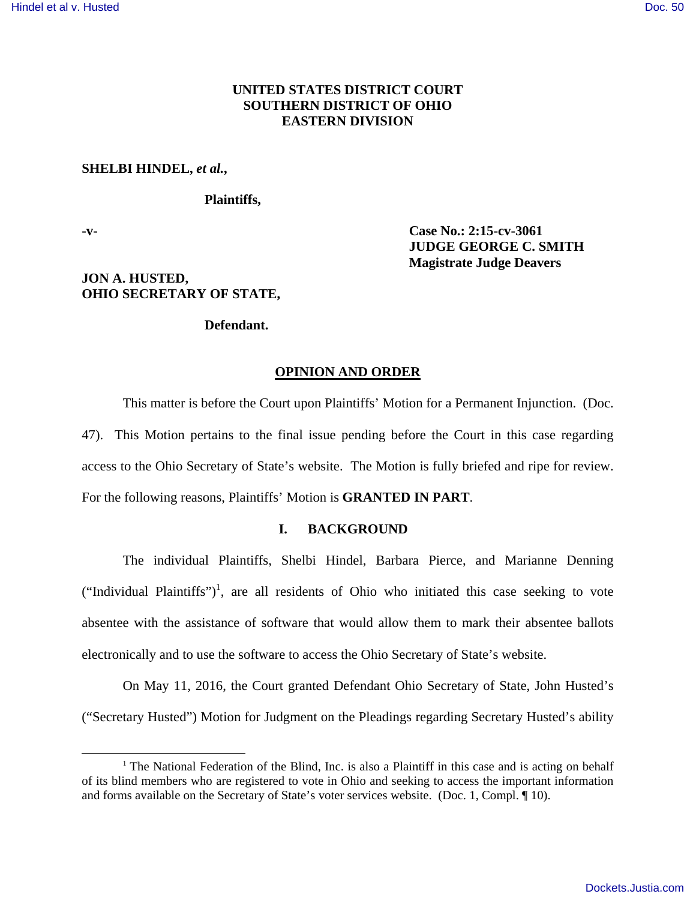# **UNITED STATES DISTRICT COURT SOUTHERN DISTRICT OF OHIO EASTERN DIVISION**

### **SHELBI HINDEL,** *et al.***,**

## **Plaintiffs,**

 $\overline{a}$ 

**-v- Case No.: 2:15-cv-3061 JUDGE GEORGE C. SMITH Magistrate Judge Deavers** 

## **JON A. HUSTED, OHIO SECRETARY OF STATE,**

## **Defendant.**

#### **OPINION AND ORDER**

This matter is before the Court upon Plaintiffs' Motion for a Permanent Injunction. (Doc. 47). This Motion pertains to the final issue pending before the Court in this case regarding access to the Ohio Secretary of State's website. The Motion is fully briefed and ripe for review. For the following reasons, Plaintiffs' Motion is **GRANTED IN PART**.

### **I. BACKGROUND**

The individual Plaintiffs, Shelbi Hindel, Barbara Pierce, and Marianne Denning ("Individual Plaintiffs")<sup>1</sup>, are all residents of Ohio who initiated this case seeking to vote absentee with the assistance of software that would allow them to mark their absentee ballots electronically and to use the software to access the Ohio Secretary of State's website.

On May 11, 2016, the Court granted Defendant Ohio Secretary of State, John Husted's ("Secretary Husted") Motion for Judgment on the Pleadings regarding Secretary Husted's ability

<sup>&</sup>lt;sup>1</sup> The National Federation of the Blind, Inc. is also a Plaintiff in this case and is acting on behalf of its blind members who are registered to vote in Ohio and seeking to access the important information and forms available on the Secretary of State's voter services website. (Doc. 1, Compl. ¶ 10).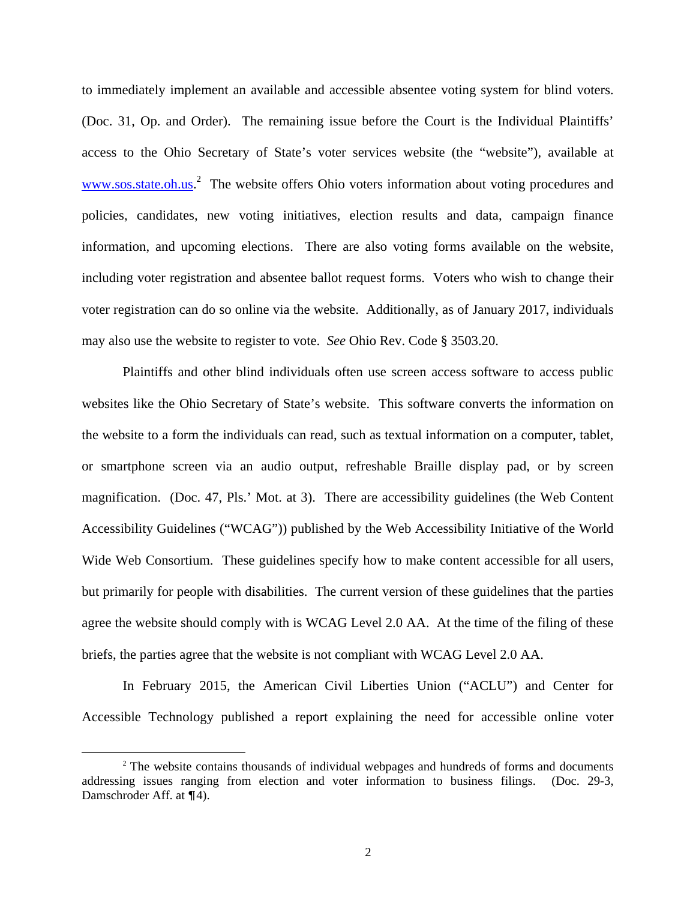to immediately implement an available and accessible absentee voting system for blind voters. (Doc. 31, Op. and Order). The remaining issue before the Court is the Individual Plaintiffs' access to the Ohio Secretary of State's voter services website (the "website"), available at www.sos.state.oh.us.<sup>2</sup> The website offers Ohio voters information about voting procedures and policies, candidates, new voting initiatives, election results and data, campaign finance information, and upcoming elections. There are also voting forms available on the website, including voter registration and absentee ballot request forms. Voters who wish to change their voter registration can do so online via the website. Additionally, as of January 2017, individuals may also use the website to register to vote. *See* Ohio Rev. Code § 3503.20.

Plaintiffs and other blind individuals often use screen access software to access public websites like the Ohio Secretary of State's website. This software converts the information on the website to a form the individuals can read, such as textual information on a computer, tablet, or smartphone screen via an audio output, refreshable Braille display pad, or by screen magnification. (Doc. 47, Pls.' Mot. at 3). There are accessibility guidelines (the Web Content Accessibility Guidelines ("WCAG")) published by the Web Accessibility Initiative of the World Wide Web Consortium. These guidelines specify how to make content accessible for all users, but primarily for people with disabilities. The current version of these guidelines that the parties agree the website should comply with is WCAG Level 2.0 AA. At the time of the filing of these briefs, the parties agree that the website is not compliant with WCAG Level 2.0 AA.

In February 2015, the American Civil Liberties Union ("ACLU") and Center for Accessible Technology published a report explaining the need for accessible online voter

 $\overline{a}$ 

<sup>&</sup>lt;sup>2</sup> The website contains thousands of individual webpages and hundreds of forms and documents addressing issues ranging from election and voter information to business filings. (Doc. 29-3, Damschroder Aff. at  $\P$ 4).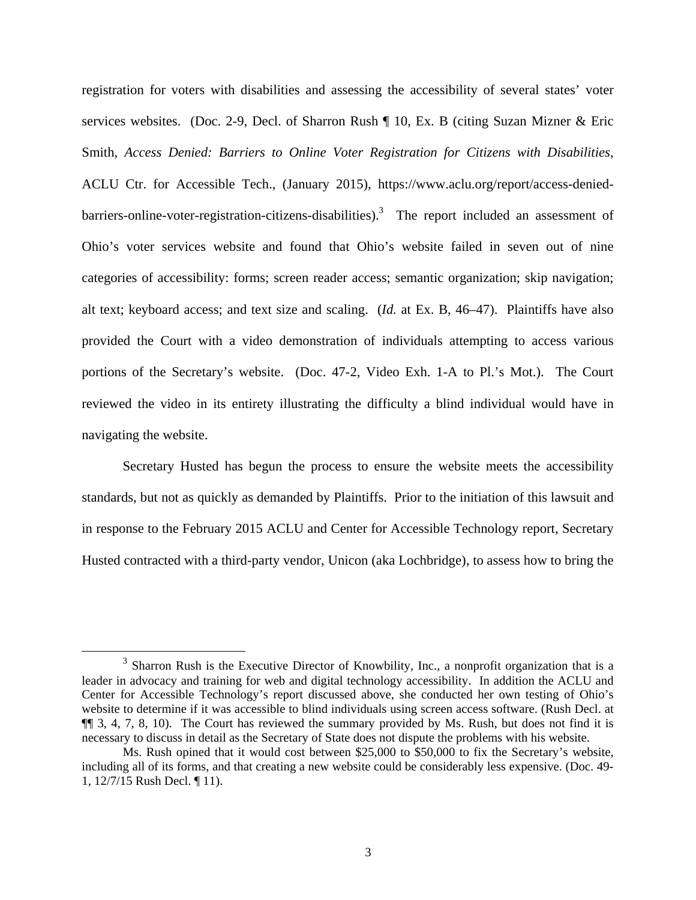registration for voters with disabilities and assessing the accessibility of several states' voter services websites. (Doc. 2-9, Decl. of Sharron Rush ¶ 10, Ex. B (citing Suzan Mizner & Eric Smith, *Access Denied: Barriers to Online Voter Registration for Citizens with Disabilities*, ACLU Ctr. for Accessible Tech., (January 2015), https://www.aclu.org/report/access-deniedbarriers-online-voter-registration-citizens-disabilities).<sup>3</sup> The report included an assessment of Ohio's voter services website and found that Ohio's website failed in seven out of nine categories of accessibility: forms; screen reader access; semantic organization; skip navigation; alt text; keyboard access; and text size and scaling. (*Id.* at Ex. B, 46–47). Plaintiffs have also provided the Court with a video demonstration of individuals attempting to access various portions of the Secretary's website. (Doc. 47-2, Video Exh. 1-A to Pl.'s Mot.). The Court reviewed the video in its entirety illustrating the difficulty a blind individual would have in navigating the website.

Secretary Husted has begun the process to ensure the website meets the accessibility standards, but not as quickly as demanded by Plaintiffs. Prior to the initiation of this lawsuit and in response to the February 2015 ACLU and Center for Accessible Technology report, Secretary Husted contracted with a third-party vendor, Unicon (aka Lochbridge), to assess how to bring the

 $\overline{a}$ 

<sup>&</sup>lt;sup>3</sup> Sharron Rush is the Executive Director of Knowbility, Inc., a nonprofit organization that is a leader in advocacy and training for web and digital technology accessibility. In addition the ACLU and Center for Accessible Technology's report discussed above, she conducted her own testing of Ohio's website to determine if it was accessible to blind individuals using screen access software. (Rush Decl. at ¶¶ 3, 4, 7, 8, 10). The Court has reviewed the summary provided by Ms. Rush, but does not find it is necessary to discuss in detail as the Secretary of State does not dispute the problems with his website.

Ms. Rush opined that it would cost between \$25,000 to \$50,000 to fix the Secretary's website, including all of its forms, and that creating a new website could be considerably less expensive. (Doc. 49- 1, 12/7/15 Rush Decl. ¶ 11).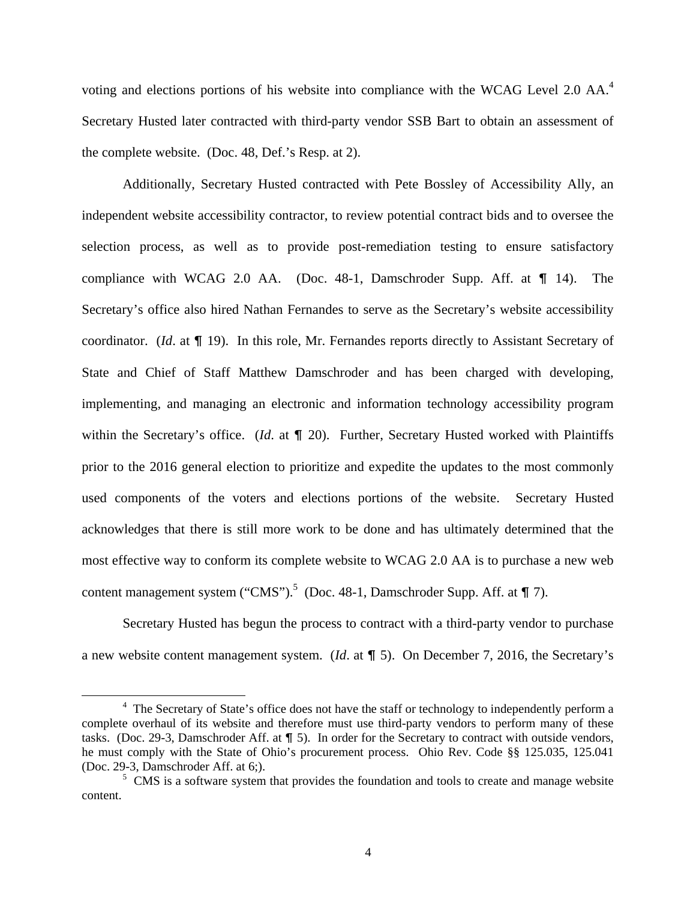voting and elections portions of his website into compliance with the WCAG Level 2.0 AA.<sup>4</sup> Secretary Husted later contracted with third-party vendor SSB Bart to obtain an assessment of the complete website. (Doc. 48, Def.'s Resp. at 2).

Additionally, Secretary Husted contracted with Pete Bossley of Accessibility Ally, an independent website accessibility contractor, to review potential contract bids and to oversee the selection process, as well as to provide post-remediation testing to ensure satisfactory compliance with WCAG 2.0 AA. (Doc. 48-1, Damschroder Supp. Aff. at  $\P$  14). The Secretary's office also hired Nathan Fernandes to serve as the Secretary's website accessibility coordinator. (*Id.* at  $\P$  19). In this role, Mr. Fernandes reports directly to Assistant Secretary of State and Chief of Staff Matthew Damschroder and has been charged with developing, implementing, and managing an electronic and information technology accessibility program within the Secretary's office. (*Id.* at  $\P$  20). Further, Secretary Husted worked with Plaintiffs prior to the 2016 general election to prioritize and expedite the updates to the most commonly used components of the voters and elections portions of the website. Secretary Husted acknowledges that there is still more work to be done and has ultimately determined that the most effective way to conform its complete website to WCAG 2.0 AA is to purchase a new web content management system ("CMS").<sup>5</sup> (Doc. 48-1, Damschroder Supp. Aff. at  $\P$  7).

Secretary Husted has begun the process to contract with a third-party vendor to purchase a new website content management system. (*Id.* at  $\P$  5). On December 7, 2016, the Secretary's

 $\overline{a}$ 

<sup>&</sup>lt;sup>4</sup> The Secretary of State's office does not have the staff or technology to independently perform a complete overhaul of its website and therefore must use third-party vendors to perform many of these tasks. (Doc. 29-3, Damschroder Aff. at  $\P$  5). In order for the Secretary to contract with outside vendors, he must comply with the State of Ohio's procurement process. Ohio Rev. Code §§ 125.035, 125.041 (Doc. 29-3, Damschroder Aff. at 6;).

<sup>&</sup>lt;sup>5</sup> CMS is a software system that provides the foundation and tools to create and manage website content.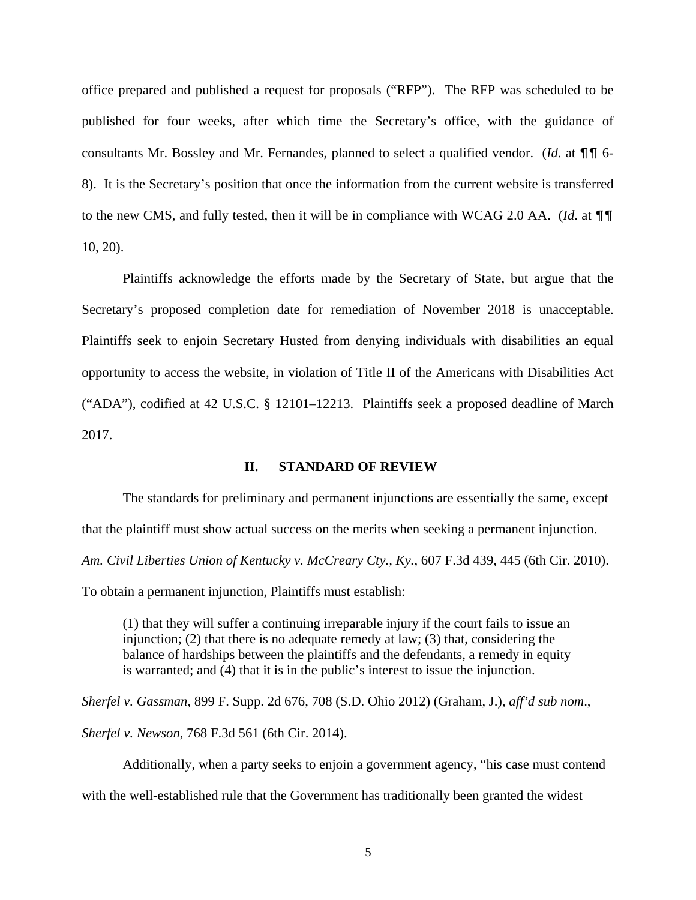office prepared and published a request for proposals ("RFP"). The RFP was scheduled to be published for four weeks, after which time the Secretary's office, with the guidance of consultants Mr. Bossley and Mr. Fernandes, planned to select a qualified vendor. (*Id.* at  $\P\P$  6-8). It is the Secretary's position that once the information from the current website is transferred to the new CMS, and fully tested, then it will be in compliance with WCAG 2.0 AA. (*Id.* at  $\P\P$ 10, 20).

Plaintiffs acknowledge the efforts made by the Secretary of State, but argue that the Secretary's proposed completion date for remediation of November 2018 is unacceptable. Plaintiffs seek to enjoin Secretary Husted from denying individuals with disabilities an equal opportunity to access the website, in violation of Title II of the Americans with Disabilities Act ("ADA"), codified at 42 U.S.C. § 12101–12213. Plaintiffs seek a proposed deadline of March 2017.

### **II. STANDARD OF REVIEW**

 The standards for preliminary and permanent injunctions are essentially the same, except that the plaintiff must show actual success on the merits when seeking a permanent injunction. *Am. Civil Liberties Union of Kentucky v. McCreary Cty., Ky.*, 607 F.3d 439, 445 (6th Cir. 2010).

To obtain a permanent injunction, Plaintiffs must establish:

(1) that they will suffer a continuing irreparable injury if the court fails to issue an injunction; (2) that there is no adequate remedy at law; (3) that, considering the balance of hardships between the plaintiffs and the defendants, a remedy in equity is warranted; and (4) that it is in the public's interest to issue the injunction.

*Sherfel v. Gassman*, 899 F. Supp. 2d 676, 708 (S.D. Ohio 2012) (Graham, J.), *aff'd sub nom*., *Sherfel v. Newson*, 768 F.3d 561 (6th Cir. 2014).

Additionally, when a party seeks to enjoin a government agency, "his case must contend

with the well-established rule that the Government has traditionally been granted the widest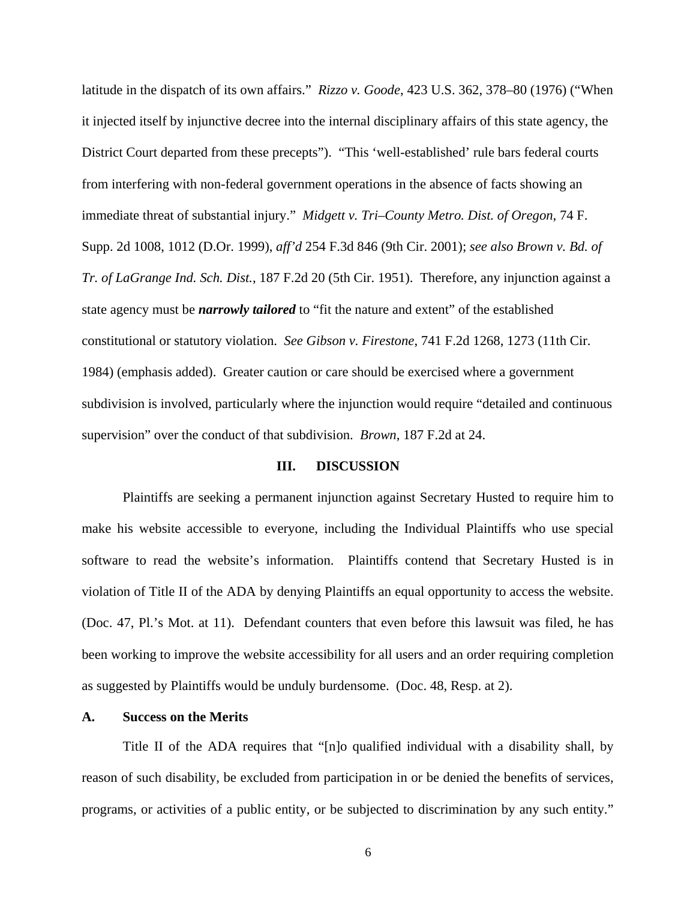latitude in the dispatch of its own affairs." *Rizzo v. Goode*, 423 U.S. 362, 378–80 (1976) ("When it injected itself by injunctive decree into the internal disciplinary affairs of this state agency, the District Court departed from these precepts"). "This 'well-established' rule bars federal courts from interfering with non-federal government operations in the absence of facts showing an immediate threat of substantial injury." *Midgett v. Tri–County Metro. Dist. of Oregon*, 74 F. Supp. 2d 1008, 1012 (D.Or. 1999), *aff'd* 254 F.3d 846 (9th Cir. 2001); *see also Brown v. Bd. of Tr. of LaGrange Ind. Sch. Dist.*, 187 F.2d 20 (5th Cir. 1951). Therefore, any injunction against a state agency must be *narrowly tailored* to "fit the nature and extent" of the established constitutional or statutory violation. *See Gibson v. Firestone*, 741 F.2d 1268, 1273 (11th Cir. 1984) (emphasis added). Greater caution or care should be exercised where a government subdivision is involved, particularly where the injunction would require "detailed and continuous supervision" over the conduct of that subdivision. *Brown*, 187 F.2d at 24.

### **III. DISCUSSION**

Plaintiffs are seeking a permanent injunction against Secretary Husted to require him to make his website accessible to everyone, including the Individual Plaintiffs who use special software to read the website's information. Plaintiffs contend that Secretary Husted is in violation of Title II of the ADA by denying Plaintiffs an equal opportunity to access the website. (Doc. 47, Pl.'s Mot. at 11). Defendant counters that even before this lawsuit was filed, he has been working to improve the website accessibility for all users and an order requiring completion as suggested by Plaintiffs would be unduly burdensome. (Doc. 48, Resp. at 2).

#### **A. Success on the Merits**

Title II of the ADA requires that "[n]o qualified individual with a disability shall, by reason of such disability, be excluded from participation in or be denied the benefits of services, programs, or activities of a public entity, or be subjected to discrimination by any such entity."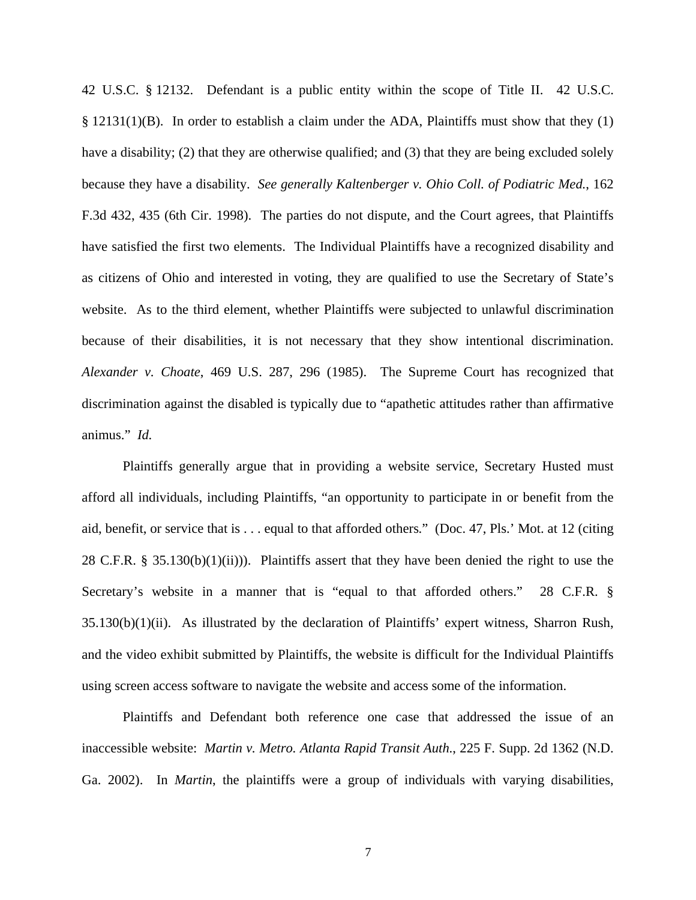42 U.S.C. § 12132. Defendant is a public entity within the scope of Title II. 42 U.S.C. § 12131(1)(B). In order to establish a claim under the ADA, Plaintiffs must show that they (1) have a disability; (2) that they are otherwise qualified; and (3) that they are being excluded solely because they have a disability. *See generally Kaltenberger v. Ohio Coll. of Podiatric Med.*, 162 F.3d 432, 435 (6th Cir. 1998). The parties do not dispute, and the Court agrees, that Plaintiffs have satisfied the first two elements. The Individual Plaintiffs have a recognized disability and as citizens of Ohio and interested in voting, they are qualified to use the Secretary of State's website. As to the third element, whether Plaintiffs were subjected to unlawful discrimination because of their disabilities, it is not necessary that they show intentional discrimination. *Alexander v. Choate*, 469 U.S. 287, 296 (1985). The Supreme Court has recognized that discrimination against the disabled is typically due to "apathetic attitudes rather than affirmative animus." *Id.*

Plaintiffs generally argue that in providing a website service, Secretary Husted must afford all individuals, including Plaintiffs, "an opportunity to participate in or benefit from the aid, benefit, or service that is . . . equal to that afforded others." (Doc. 47, Pls.' Mot. at 12 (citing 28 C.F.R. § 35.130(b)(1)(ii))). Plaintiffs assert that they have been denied the right to use the Secretary's website in a manner that is "equal to that afforded others." 28 C.F.R. § 35.130(b)(1)(ii). As illustrated by the declaration of Plaintiffs' expert witness, Sharron Rush, and the video exhibit submitted by Plaintiffs, the website is difficult for the Individual Plaintiffs using screen access software to navigate the website and access some of the information.

Plaintiffs and Defendant both reference one case that addressed the issue of an inaccessible website: *Martin v. Metro. Atlanta Rapid Transit Auth*., 225 F. Supp. 2d 1362 (N.D. Ga. 2002). In *Martin*, the plaintiffs were a group of individuals with varying disabilities,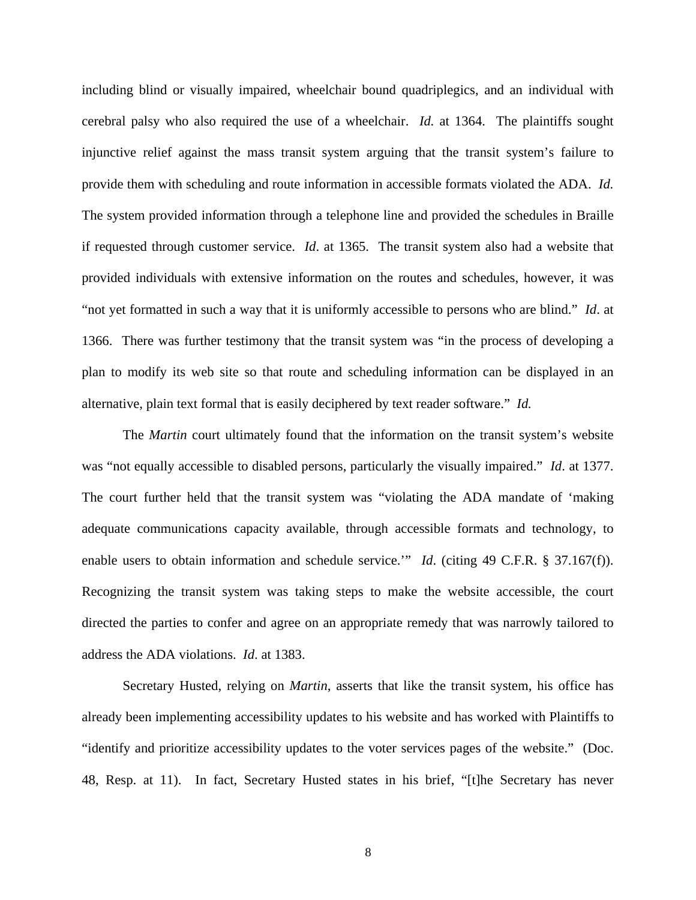including blind or visually impaired, wheelchair bound quadriplegics, and an individual with cerebral palsy who also required the use of a wheelchair. *Id.* at 1364. The plaintiffs sought injunctive relief against the mass transit system arguing that the transit system's failure to provide them with scheduling and route information in accessible formats violated the ADA. *Id.* The system provided information through a telephone line and provided the schedules in Braille if requested through customer service. *Id*. at 1365. The transit system also had a website that provided individuals with extensive information on the routes and schedules, however, it was "not yet formatted in such a way that it is uniformly accessible to persons who are blind." *Id*. at 1366. There was further testimony that the transit system was "in the process of developing a plan to modify its web site so that route and scheduling information can be displayed in an alternative, plain text formal that is easily deciphered by text reader software." *Id.*

The *Martin* court ultimately found that the information on the transit system's website was "not equally accessible to disabled persons, particularly the visually impaired." *Id*. at 1377. The court further held that the transit system was "violating the ADA mandate of 'making adequate communications capacity available, through accessible formats and technology, to enable users to obtain information and schedule service.'" *Id.* (citing 49 C.F.R. § 37.167(f)). Recognizing the transit system was taking steps to make the website accessible, the court directed the parties to confer and agree on an appropriate remedy that was narrowly tailored to address the ADA violations. *Id*. at 1383.

 Secretary Husted, relying on *Martin*, asserts that like the transit system, his office has already been implementing accessibility updates to his website and has worked with Plaintiffs to "identify and prioritize accessibility updates to the voter services pages of the website." (Doc. 48, Resp. at 11). In fact, Secretary Husted states in his brief, "[t]he Secretary has never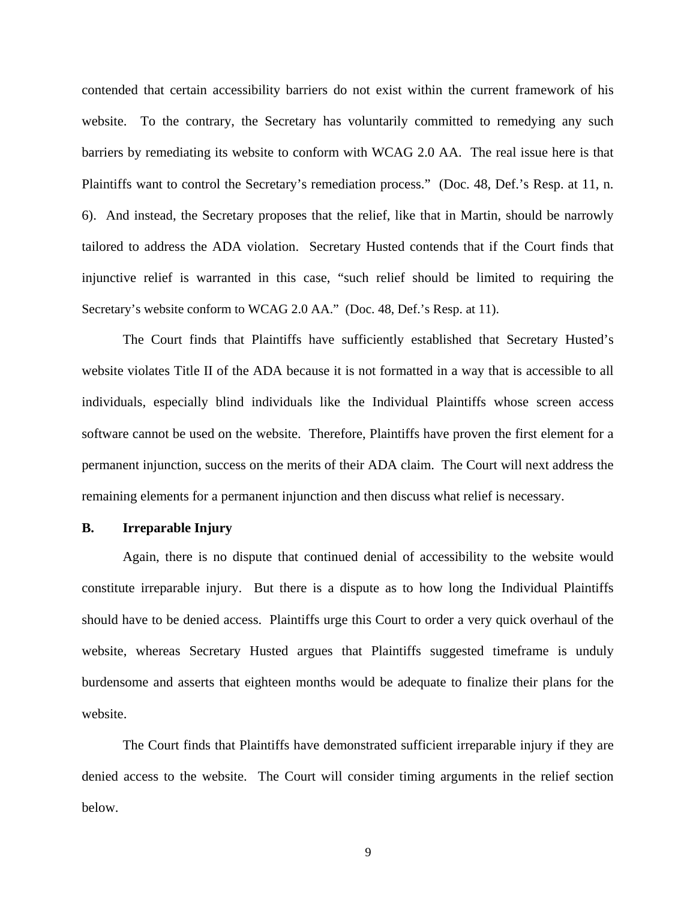contended that certain accessibility barriers do not exist within the current framework of his website. To the contrary, the Secretary has voluntarily committed to remedying any such barriers by remediating its website to conform with WCAG 2.0 AA. The real issue here is that Plaintiffs want to control the Secretary's remediation process." (Doc. 48, Def.'s Resp. at 11, n. 6). And instead, the Secretary proposes that the relief, like that in Martin, should be narrowly tailored to address the ADA violation. Secretary Husted contends that if the Court finds that injunctive relief is warranted in this case, "such relief should be limited to requiring the Secretary's website conform to WCAG 2.0 AA." (Doc. 48, Def.'s Resp. at 11).

 The Court finds that Plaintiffs have sufficiently established that Secretary Husted's website violates Title II of the ADA because it is not formatted in a way that is accessible to all individuals, especially blind individuals like the Individual Plaintiffs whose screen access software cannot be used on the website. Therefore, Plaintiffs have proven the first element for a permanent injunction, success on the merits of their ADA claim. The Court will next address the remaining elements for a permanent injunction and then discuss what relief is necessary.

### **B. Irreparable Injury**

 Again, there is no dispute that continued denial of accessibility to the website would constitute irreparable injury. But there is a dispute as to how long the Individual Plaintiffs should have to be denied access. Plaintiffs urge this Court to order a very quick overhaul of the website, whereas Secretary Husted argues that Plaintiffs suggested timeframe is unduly burdensome and asserts that eighteen months would be adequate to finalize their plans for the website.

 The Court finds that Plaintiffs have demonstrated sufficient irreparable injury if they are denied access to the website. The Court will consider timing arguments in the relief section below.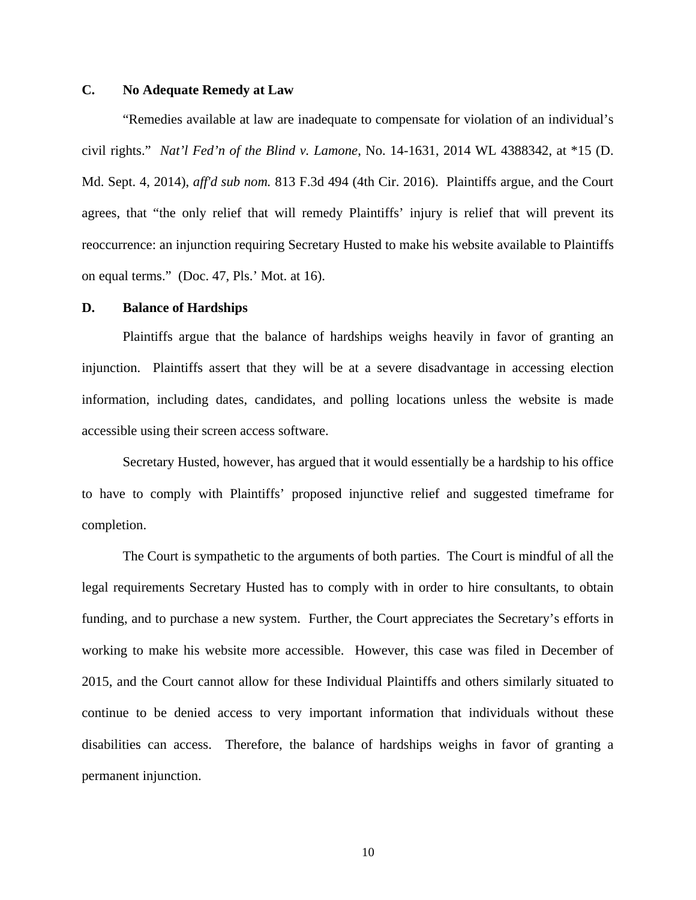# **C. No Adequate Remedy at Law**

 "Remedies available at law are inadequate to compensate for violation of an individual's civil rights." *Nat'l Fed'n of the Blind v. Lamone*, No. 14-1631, 2014 WL 4388342, at \*15 (D. Md. Sept. 4, 2014), *aff'd sub nom.* 813 F.3d 494 (4th Cir. 2016). Plaintiffs argue, and the Court agrees, that "the only relief that will remedy Plaintiffs' injury is relief that will prevent its reoccurrence: an injunction requiring Secretary Husted to make his website available to Plaintiffs on equal terms." (Doc. 47, Pls.' Mot. at 16).

## **D. Balance of Hardships**

 Plaintiffs argue that the balance of hardships weighs heavily in favor of granting an injunction. Plaintiffs assert that they will be at a severe disadvantage in accessing election information, including dates, candidates, and polling locations unless the website is made accessible using their screen access software.

 Secretary Husted, however, has argued that it would essentially be a hardship to his office to have to comply with Plaintiffs' proposed injunctive relief and suggested timeframe for completion.

 The Court is sympathetic to the arguments of both parties. The Court is mindful of all the legal requirements Secretary Husted has to comply with in order to hire consultants, to obtain funding, and to purchase a new system. Further, the Court appreciates the Secretary's efforts in working to make his website more accessible. However, this case was filed in December of 2015, and the Court cannot allow for these Individual Plaintiffs and others similarly situated to continue to be denied access to very important information that individuals without these disabilities can access. Therefore, the balance of hardships weighs in favor of granting a permanent injunction.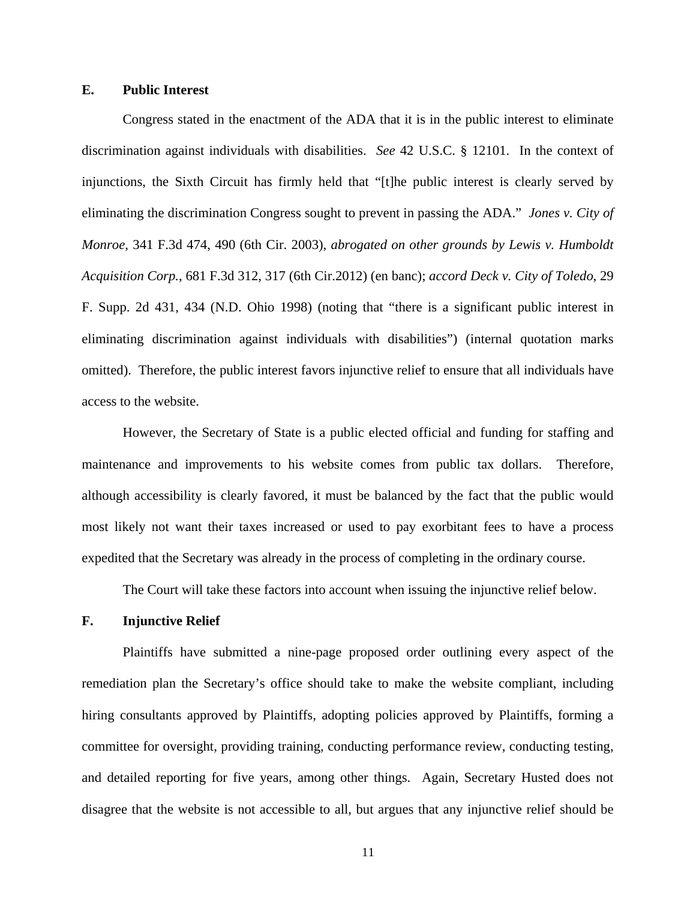## **E. Public Interest**

 Congress stated in the enactment of the ADA that it is in the public interest to eliminate discrimination against individuals with disabilities. *See* 42 U.S.C. § 12101. In the context of injunctions, the Sixth Circuit has firmly held that "[t]he public interest is clearly served by eliminating the discrimination Congress sought to prevent in passing the ADA." *Jones v. City of Monroe*, 341 F.3d 474, 490 (6th Cir. 2003), *abrogated on other grounds by Lewis v. Humboldt Acquisition Corp.*, 681 F.3d 312, 317 (6th Cir.2012) (en banc); *accord Deck v. City of Toledo*, 29 F. Supp. 2d 431, 434 (N.D. Ohio 1998) (noting that "there is a significant public interest in eliminating discrimination against individuals with disabilities") (internal quotation marks omitted). Therefore, the public interest favors injunctive relief to ensure that all individuals have access to the website.

 However, the Secretary of State is a public elected official and funding for staffing and maintenance and improvements to his website comes from public tax dollars. Therefore, although accessibility is clearly favored, it must be balanced by the fact that the public would most likely not want their taxes increased or used to pay exorbitant fees to have a process expedited that the Secretary was already in the process of completing in the ordinary course.

The Court will take these factors into account when issuing the injunctive relief below.

## **F. Injunctive Relief**

 Plaintiffs have submitted a nine-page proposed order outlining every aspect of the remediation plan the Secretary's office should take to make the website compliant, including hiring consultants approved by Plaintiffs, adopting policies approved by Plaintiffs, forming a committee for oversight, providing training, conducting performance review, conducting testing, and detailed reporting for five years, among other things. Again, Secretary Husted does not disagree that the website is not accessible to all, but argues that any injunctive relief should be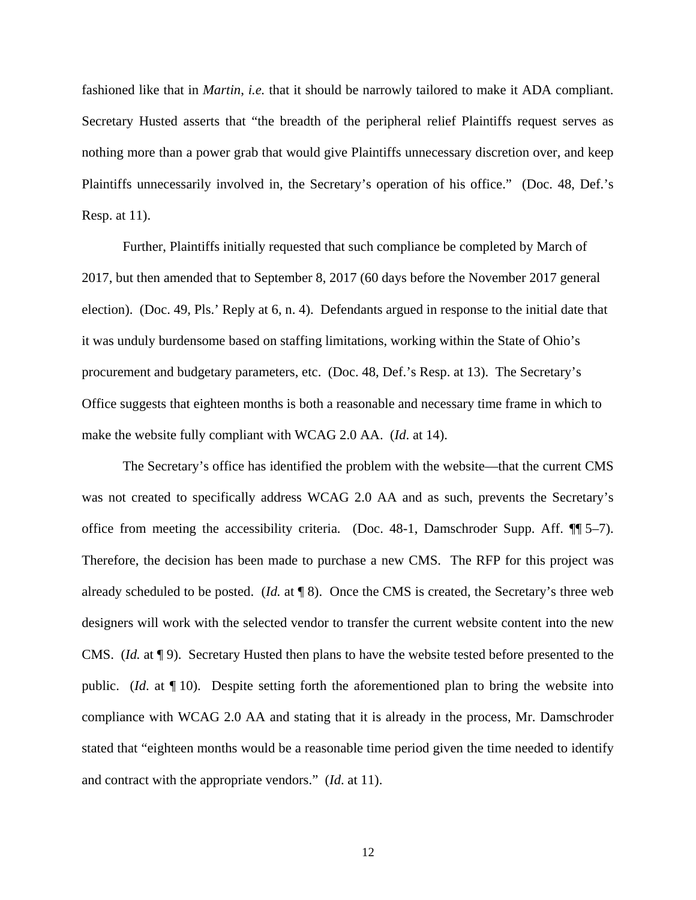fashioned like that in *Martin*, *i.e.* that it should be narrowly tailored to make it ADA compliant. Secretary Husted asserts that "the breadth of the peripheral relief Plaintiffs request serves as nothing more than a power grab that would give Plaintiffs unnecessary discretion over, and keep Plaintiffs unnecessarily involved in, the Secretary's operation of his office." (Doc. 48, Def.'s Resp. at 11).

 Further, Plaintiffs initially requested that such compliance be completed by March of 2017, but then amended that to September 8, 2017 (60 days before the November 2017 general election). (Doc. 49, Pls.' Reply at 6, n. 4). Defendants argued in response to the initial date that it was unduly burdensome based on staffing limitations, working within the State of Ohio's procurement and budgetary parameters, etc. (Doc. 48, Def.'s Resp. at 13). The Secretary's Office suggests that eighteen months is both a reasonable and necessary time frame in which to make the website fully compliant with WCAG 2.0 AA. (*Id*. at 14).

The Secretary's office has identified the problem with the website—that the current CMS was not created to specifically address WCAG 2.0 AA and as such, prevents the Secretary's office from meeting the accessibility criteria. (Doc. 48-1, Damschroder Supp. Aff. ¶¶ 5–7). Therefore, the decision has been made to purchase a new CMS. The RFP for this project was already scheduled to be posted. (*Id.* at ¶ 8). Once the CMS is created, the Secretary's three web designers will work with the selected vendor to transfer the current website content into the new CMS. (*Id.* at ¶ 9). Secretary Husted then plans to have the website tested before presented to the public. (*Id*. at ¶ 10). Despite setting forth the aforementioned plan to bring the website into compliance with WCAG 2.0 AA and stating that it is already in the process, Mr. Damschroder stated that "eighteen months would be a reasonable time period given the time needed to identify and contract with the appropriate vendors." (*Id*. at 11).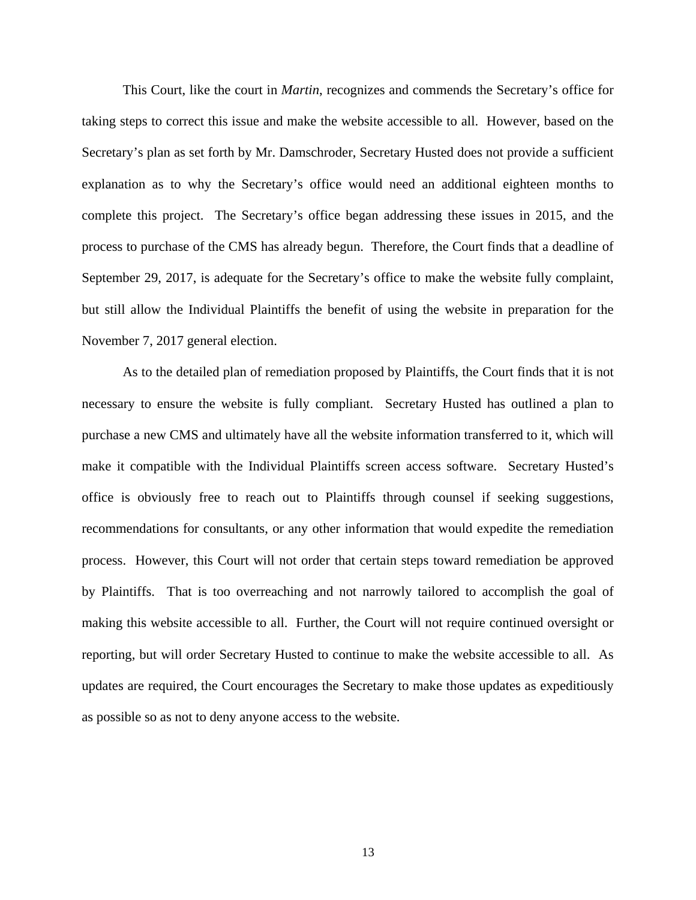This Court, like the court in *Martin*, recognizes and commends the Secretary's office for taking steps to correct this issue and make the website accessible to all. However, based on the Secretary's plan as set forth by Mr. Damschroder, Secretary Husted does not provide a sufficient explanation as to why the Secretary's office would need an additional eighteen months to complete this project. The Secretary's office began addressing these issues in 2015, and the process to purchase of the CMS has already begun. Therefore, the Court finds that a deadline of September 29, 2017, is adequate for the Secretary's office to make the website fully complaint, but still allow the Individual Plaintiffs the benefit of using the website in preparation for the November 7, 2017 general election.

As to the detailed plan of remediation proposed by Plaintiffs, the Court finds that it is not necessary to ensure the website is fully compliant. Secretary Husted has outlined a plan to purchase a new CMS and ultimately have all the website information transferred to it, which will make it compatible with the Individual Plaintiffs screen access software. Secretary Husted's office is obviously free to reach out to Plaintiffs through counsel if seeking suggestions, recommendations for consultants, or any other information that would expedite the remediation process. However, this Court will not order that certain steps toward remediation be approved by Plaintiffs. That is too overreaching and not narrowly tailored to accomplish the goal of making this website accessible to all. Further, the Court will not require continued oversight or reporting, but will order Secretary Husted to continue to make the website accessible to all. As updates are required, the Court encourages the Secretary to make those updates as expeditiously as possible so as not to deny anyone access to the website.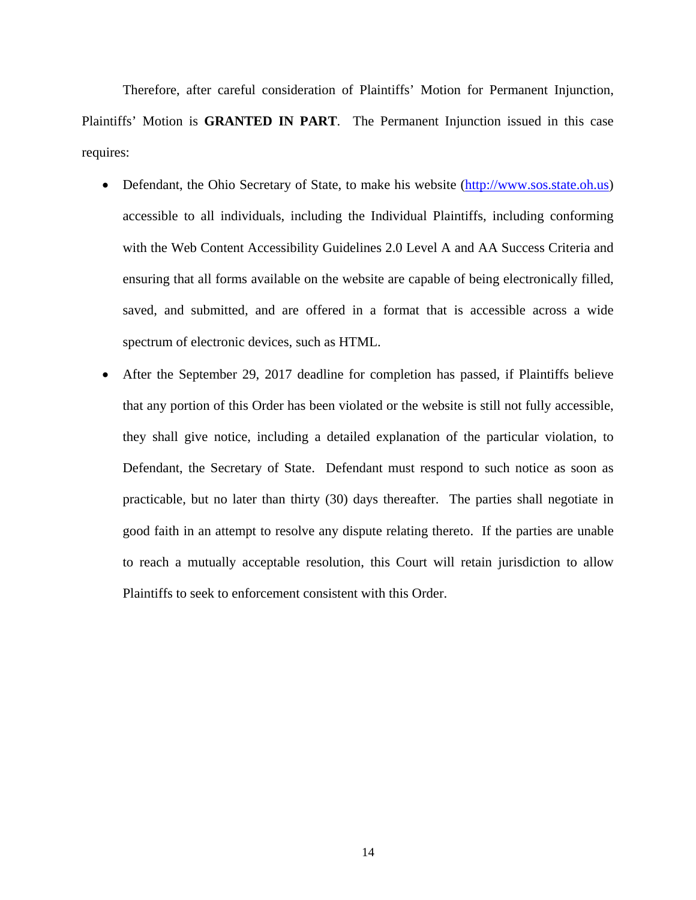Therefore, after careful consideration of Plaintiffs' Motion for Permanent Injunction, Plaintiffs' Motion is **GRANTED IN PART**. The Permanent Injunction issued in this case requires:

- Defendant, the Ohio Secretary of State, to make his website (http://www.sos.state.oh.us) accessible to all individuals, including the Individual Plaintiffs, including conforming with the Web Content Accessibility Guidelines 2.0 Level A and AA Success Criteria and ensuring that all forms available on the website are capable of being electronically filled, saved, and submitted, and are offered in a format that is accessible across a wide spectrum of electronic devices, such as HTML.
- After the September 29, 2017 deadline for completion has passed, if Plaintiffs believe that any portion of this Order has been violated or the website is still not fully accessible, they shall give notice, including a detailed explanation of the particular violation, to Defendant, the Secretary of State. Defendant must respond to such notice as soon as practicable, but no later than thirty (30) days thereafter. The parties shall negotiate in good faith in an attempt to resolve any dispute relating thereto. If the parties are unable to reach a mutually acceptable resolution, this Court will retain jurisdiction to allow Plaintiffs to seek to enforcement consistent with this Order.